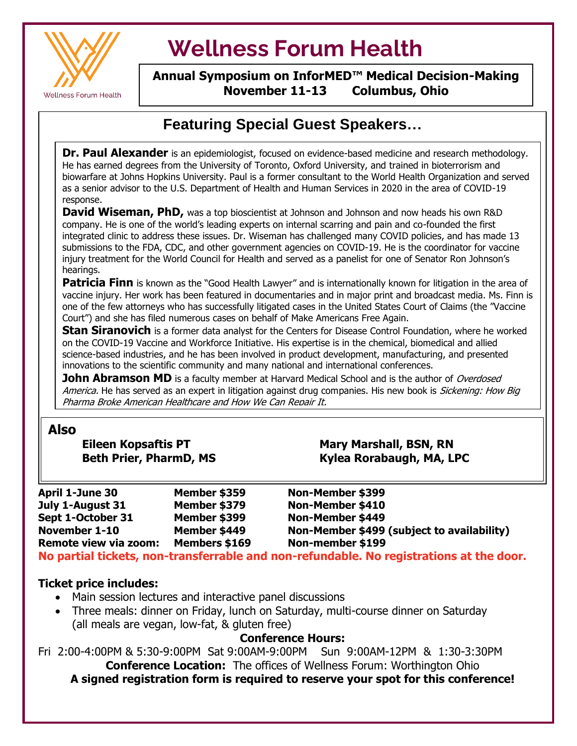

 $\overline{\mathsf{r}}$ 

# **Wellness Forum Health**

#### **Annual Symposium on InforMED™ Medical Decision-Making November 11-13 Columbus, Ohio**

## **Featuring Special Guest Speakers…**

**Dr. Paul Alexander** is an epidemiologist, focused on evidence-based medicine and research methodology. He has earned degrees from the University of Toronto, Oxford University, and trained in bioterrorism and biowarfare at Johns Hopkins University. Paul is a former consultant to the World Health Organization and served as a senior advisor to the U.S. Department of Health and Human Services in 2020 in the area of COVID-19 response.

injury treatment for the World Council for Health and served as a panelist for one of Senator Ron Johnson's **David Wiseman, PhD,** was a top bioscientist at Johnson and Johnson and now heads his own R&D company. He is one of the world's leading experts on internal scarring and pain and co-founded the first integrated clinic to address these issues. Dr. Wiseman has challenged many COVID policies, and has made 13 submissions to the FDA, CDC, and other government agencies on COVID-19. He is the coordinator for vaccine hearings.

**Patricia Finn** is known as the "Good Health Lawyer" and is internationally known for litigation in the area of vaccine injury. Her work has been featured in documentaries and in major print and broadcast media. Ms. Finn is one of the few attorneys who has successfully litigated cases in the United States Court of Claims (the "Vaccine Court") and she has filed numerous cases on behalf of Make Americans Free Again.

**Time is a figure of the best price is a follice the best price of the best price of the contact price in the COVID-19 Vaccine and Workforce Initiative. His expertise is in the chemical, biomedical and allied Stan Siranovich** is a former data analyst for the Centers for Disease Control Foundation, where he worked science-based industries, and he has been involved in product development, manufacturing, and presented innovations to the scientific community and many national and international conferences.

**John Abramson MD** is a faculty member at Harvard Medical School and is the author of *Overdosed* America. He has served as an expert in litigation against drug companies. His new book is Sickening: How Big Pharma Broke American Healthcare and How We Can Repair It.

## **Also**

**Eileen Kopsaftis PT** Mary Marshall, BSN, RN Beth Prier, PharmD, MS Kylea Rorabaugh, MA, LPC

| <b>April 1-June 30</b> | Member \$359  | Non-Member \$399                                                                       |
|------------------------|---------------|----------------------------------------------------------------------------------------|
| July 1-August 31       | Member \$379  | Non-Member \$410                                                                       |
| Sept 1-October 31      | Member \$399  | Non-Member \$449                                                                       |
| November 1-10          | Member \$449  | Non-Member \$499 (subject to availability)                                             |
| Remote view via zoom:  | Members \$169 | Non-member \$199                                                                       |
|                        |               | No nartial tickets, non-transferrable and non-refundable. No registrations at the door |

**No partial tickets, non-transferrable and non-refundable. No registrations at the door.** 

### **Ticket price includes:**

- Main session lectures and interactive panel discussions
- Three meals: dinner on Friday, lunch on Saturday, multi-course dinner on Saturday (all meals are vegan, low-fat, & gluten free)

#### **Conference Hours:**

Fri 2:00-4:00PM & 5:30-9:00PM Sat 9:00AM-9:00PM Sun 9:00AM-12PM & 1:30-3:30PM **Conference Location:** The offices of Wellness Forum: Worthington Ohio **A signed registration form is required to reserve your spot for this conference!**